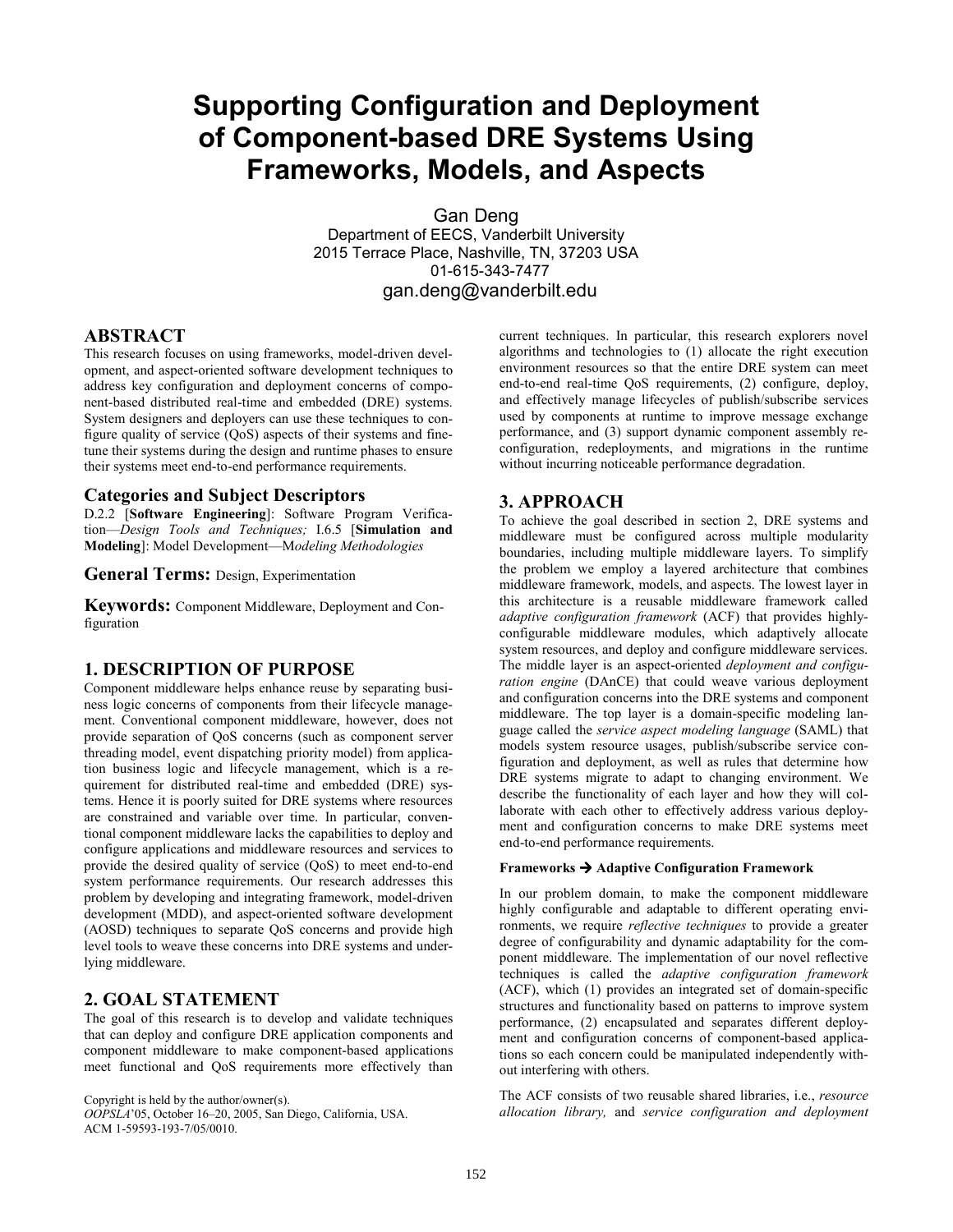# **Supporting Configuration and Deployment of Component-based DRE Systems Using Frameworks, Models, and Aspects**

Gan Deng Department of EECS, Vanderbilt University 2015 Terrace Place, Nashville, TN, 37203 USA 01-615-343-7477 gan.deng@vanderbilt.edu

# **ABSTRACT**

This research focuses on using frameworks, model-driven development, and aspect-oriented software development techniques to address key configuration and deployment concerns of component-based distributed real-time and embedded (DRE) systems. System designers and deployers can use these techniques to configure quality of service (QoS) aspects of their systems and finetune their systems during the design and runtime phases to ensure their systems meet end-to-end performance requirements.

## **Categories and Subject Descriptors**

D.2.2 [**Software Engineering**]: Software Program Verification—*Design Tools and Techniques;* I.6.5 [**Simulation and Modeling**]: Model Development—M*odeling Methodologies*

**General Terms:** Design, Experimentation

**Keywords:** Component Middleware, Deployment and Configuration

## **1. DESCRIPTION OF PURPOSE**

Component middleware helps enhance reuse by separating business logic concerns of components from their lifecycle management. Conventional component middleware, however, does not provide separation of QoS concerns (such as component server threading model, event dispatching priority model) from application business logic and lifecycle management, which is a requirement for distributed real-time and embedded (DRE) systems. Hence it is poorly suited for DRE systems where resources are constrained and variable over time. In particular, conventional component middleware lacks the capabilities to deploy and configure applications and middleware resources and services to provide the desired quality of service (QoS) to meet end-to-end system performance requirements. Our research addresses this problem by developing and integrating framework, model-driven development (MDD), and aspect-oriented software development (AOSD) techniques to separate QoS concerns and provide high level tools to weave these concerns into DRE systems and underlying middleware.

# **2. GOAL STATEMENT**

The goal of this research is to develop and validate techniques that can deploy and configure DRE application components and component middleware to make component-based applications meet functional and QoS requirements more effectively than

*OOPSLA*'05, October 16–20, 2005, San Diego, California, USA. ACM 1-59593-193-7/05/0010.

current techniques. In particular, this research explorers novel algorithms and technologies to (1) allocate the right execution environment resources so that the entire DRE system can meet end-to-end real-time QoS requirements, (2) configure, deploy, and effectively manage lifecycles of publish/subscribe services used by components at runtime to improve message exchange performance, and (3) support dynamic component assembly reconfiguration, redeployments, and migrations in the runtime without incurring noticeable performance degradation.

## **3. APPROACH**

To achieve the goal described in section 2, DRE systems and middleware must be configured across multiple modularity boundaries, including multiple middleware layers. To simplify the problem we employ a layered architecture that combines middleware framework, models, and aspects. The lowest layer in this architecture is a reusable middleware framework called *adaptive configuration framework* (ACF) that provides highlyconfigurable middleware modules, which adaptively allocate system resources, and deploy and configure middleware services. The middle layer is an aspect-oriented *deployment and configuration engine* (DAnCE) that could weave various deployment and configuration concerns into the DRE systems and component middleware. The top layer is a domain-specific modeling language called the *service aspect modeling language* (SAML) that models system resource usages, publish/subscribe service configuration and deployment, as well as rules that determine how DRE systems migrate to adapt to changing environment. We describe the functionality of each layer and how they will collaborate with each other to effectively address various deployment and configuration concerns to make DRE systems meet end-to-end performance requirements.

#### **Frameworks** Æ **Adaptive Configuration Framework**

In our problem domain, to make the component middleware highly configurable and adaptable to different operating environments, we require *reflective techniques* to provide a greater degree of configurability and dynamic adaptability for the component middleware. The implementation of our novel reflective techniques is called the *adaptive configuration framework* (ACF), which (1) provides an integrated set of domain-specific structures and functionality based on patterns to improve system performance, (2) encapsulated and separates different deployment and configuration concerns of component-based applications so each concern could be manipulated independently without interfering with others.

The ACF consists of two reusable shared libraries, i.e., *resource allocation library, and service configuration and deployment*  $OOPSLA$ <sup>205</sup>, October 16-20, 2005, San Diego, California, USA. *allocation library, and service configuration and deployment*  $OOPSLA$ <sup>205</sup>, October 16-20, 2005,